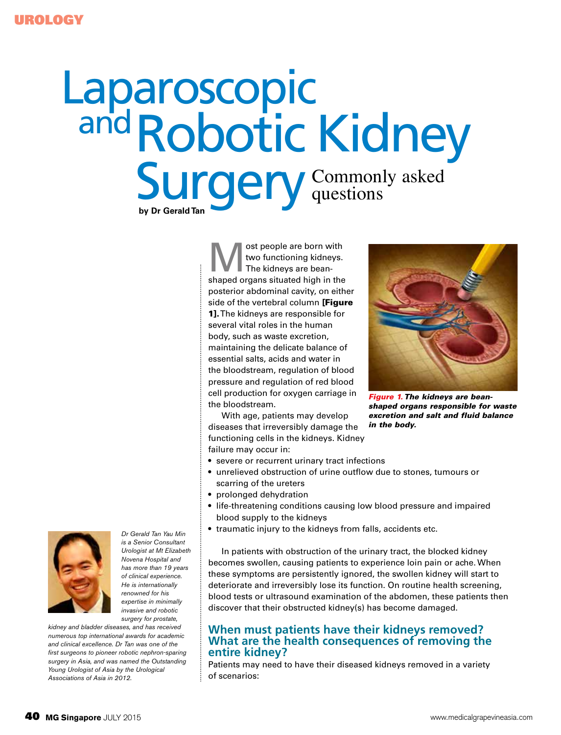# Laparoscopic **by Dr Gerald Tan** Robotic Kidney **Surgery** and Commonly asked questions

ost people are born with two functioning kidneys. The kidneys are beanshaped organs situated high in the posterior abdominal cavity, on either side of the vertebral column [Figure 11. The kidneys are responsible for several vital roles in the human body, such as waste excretion, maintaining the delicate balance of essential salts, acids and water in the bloodstream, regulation of blood pressure and regulation of red blood cell production for oxygen carriage in the bloodstream.

With age, patients may develop diseases that irreversibly damage the functioning cells in the kidneys. Kidney failure may occur in:

- severe or recurrent urinary tract infections
- unrelieved obstruction of urine outflow due to stones, tumours or scarring of the ureters
- prolonged dehydration
- life-threatening conditions causing low blood pressure and impaired blood supply to the kidneys
- traumatic injury to the kidneys from falls, accidents etc.

In patients with obstruction of the urinary tract, the blocked kidney becomes swollen, causing patients to experience loin pain or ache. When these symptoms are persistently ignored, the swollen kidney will start to deteriorate and irreversibly lose its function. On routine health screening, blood tests or ultrasound examination of the abdomen, these patients then discover that their obstructed kidney(s) has become damaged.

# **When must patients have their kidneys removed? What are the health consequences of removing the entire kidney?**

Patients may need to have their diseased kidneys removed in a variety of scenarios:



*Dr Gerald Tan Yau Min is a Senior Consultant Urologist at Mt Elizabeth Novena Hospital and has more than 19 years of clinical experience. He is internationally renowned for his expertise in minimally invasive and robotic surgery for prostate,* 

*kidney and bladder diseases, and has received numerous top international awards for academic and clinical excellence. Dr Tan was one of the first surgeons to pioneer robotic nephron-sparing surgery in Asia, and was named the Outstanding Young Urologist of Asia by the Urological Associations of Asia in 2012.* 



*Figure 1. The kidneys are beanshaped organs responsible for waste excretion and salt and fluid balance in the body.*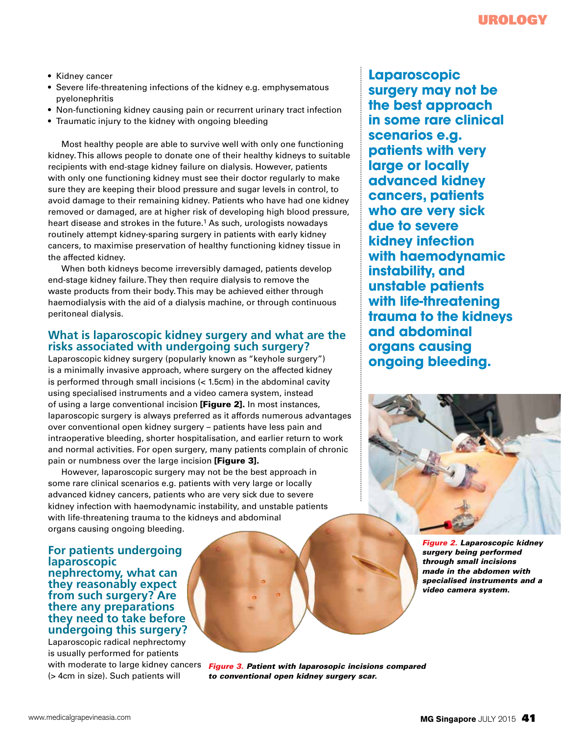- Kidney cancer
- Severe life-threatening infections of the kidney e.g. emphysematous pyelonephritis
- Non-functioning kidney causing pain or recurrent urinary tract infection
- Traumatic injury to the kidney with ongoing bleeding

Most healthy people are able to survive well with only one functioning kidney. This allows people to donate one of their healthy kidneys to suitable recipients with end-stage kidney failure on dialysis. However, patients with only one functioning kidney must see their doctor regularly to make sure they are keeping their blood pressure and sugar levels in control, to avoid damage to their remaining kidney. Patients who have had one kidney removed or damaged, are at higher risk of developing high blood pressure, heart disease and strokes in the future.<sup>1</sup> As such, urologists nowadays routinely attempt kidney-sparing surgery in patients with early kidney cancers, to maximise preservation of healthy functioning kidney tissue in the affected kidney.

When both kidneys become irreversibly damaged, patients develop end-stage kidney failure. They then require dialysis to remove the waste products from their body. This may be achieved either through haemodialysis with the aid of a dialysis machine, or through continuous peritoneal dialysis.

#### **What is laparoscopic kidney surgery and what are the risks associated with undergoing such surgery?**

Laparoscopic kidney surgery (popularly known as "keyhole surgery") is a minimally invasive approach, where surgery on the affected kidney is performed through small incisions (< 1.5cm) in the abdominal cavity using specialised instruments and a video camera system, instead of using a large conventional incision [Figure 2]. In most instances, laparoscopic surgery is always preferred as it affords numerous advantages over conventional open kidney surgery – patients have less pain and intraoperative bleeding, shorter hospitalisation, and earlier return to work and normal activities. For open surgery, many patients complain of chronic pain or numbness over the large incision [Figure 3].

However, laparoscopic surgery may not be the best approach in some rare clinical scenarios e.g. patients with very large or locally advanced kidney cancers, patients who are very sick due to severe kidney infection with haemodynamic instability, and unstable patients with life-threatening trauma to the kidneys and abdominal organs causing ongoing bleeding.

**For patients undergoing laparoscopic nephrectomy, what can they reasonably expect from such surgery? Are there any preparations they need to take before undergoing this surgery?**

Laparoscopic radical nephrectomy is usually performed for patients with moderate to large kidney cancers (> 4cm in size). Such patients will

**Laparoscopic surgery may not be the best approach in some rare clinical scenarios e.g. patients with very large or locally advanced kidney cancers, patients who are very sick due to severe kidney infection with haemodynamic instability, and unstable patients with life-threatening trauma to the kidneys and abdominal organs causing ongoing bleeding.** 



*Figure 2. Laparoscopic kidney surgery being performed through small incisions made in the abdomen with specialised instruments and a video camera system.*

*Figure 3. Patient with laparosopic incisions compared to conventional open kidney surgery scar.*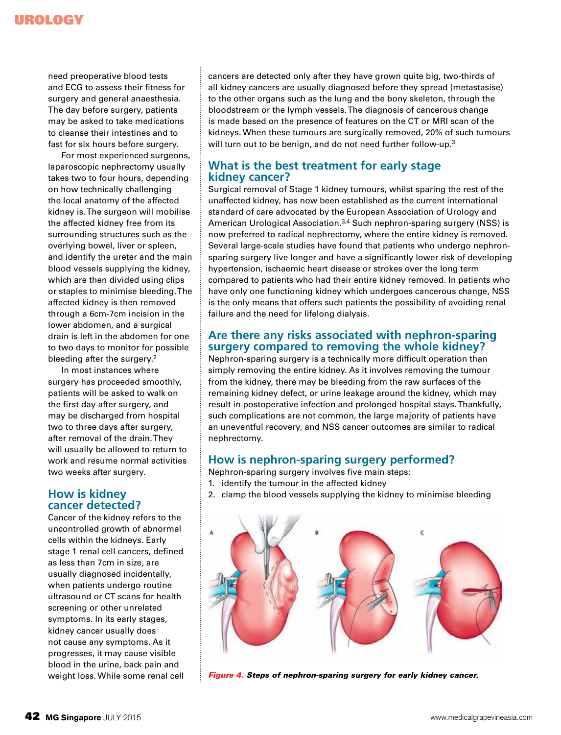# Urology

need preoperative blood tests and ECG to assess their fitness for surgery and general anaesthesia. The day before surgery, patients may be asked to take medications to cleanse their intestines and to fast for six hours before surgery.

For most experienced surgeons, laparoscopic nephrectomy usually takes two to four hours, depending on how technically challenging the local anatomy of the affected kidney is. The surgeon will mobilise the affected kidney free from its surrounding structures such as the overlying bowel, liver or spleen, and identify the ureter and the main blood vessels supplying the kidney, which are then divided using clips or staples to minimise bleeding. The affected kidney is then removed through a 6cm-7cm incision in the lower abdomen, and a surgical drain is left in the abdomen for one to two days to monitor for possible bleeding after the surgery.<sup>2</sup>

In most instances where surgery has proceeded smoothly, patients will be asked to walk on the first day after surgery, and may be discharged from hospital two to three days after surgery, after removal of the drain. They will usually be allowed to return to work and resume normal activities two weeks after surgery.

# **How is kidney cancer detected?**

Cancer of the kidney refers to the uncontrolled growth of abnormal cells within the kidneys. Early stage 1 renal cell cancers, defined as less than 7cm in size, are usually diagnosed incidentally, when patients undergo routine ultrasound or CT scans for health screening or other unrelated symptoms. In its early stages, kidney cancer usually does not cause any symptoms. As it progresses, it may cause visible blood in the urine, back pain and weight loss. While some renal cell cancers are detected only after they have grown quite big, two-thirds of all kidney cancers are usually diagnosed before they spread (metastasise) to the other organs such as the lung and the bony skeleton, through the bloodstream or the lymph vessels. The diagnosis of cancerous change is made based on the presence of features on the CT or MRI scan of the kidneys. When these tumours are surgically removed, 20% of such tumours will turn out to be benign, and do not need further follow-up.<sup>3</sup>

# **What is the best treatment for early stage kidney cancer?**

Surgical removal of Stage 1 kidney tumours, whilst sparing the rest of the unaffected kidney, has now been established as the current international standard of care advocated by the European Association of Urology and American Urological Association.<sup>3,4</sup> Such nephron-sparing surgery (NSS) is now preferred to radical nephrectomy, where the entire kidney is removed. Several large-scale studies have found that patients who undergo nephronsparing surgery live longer and have a significantly lower risk of developing hypertension, ischaemic heart disease or strokes over the long term compared to patients who had their entire kidney removed. In patients who have only one functioning kidney which undergoes cancerous change, NSS is the only means that offers such patients the possibility of avoiding renal failure and the need for lifelong dialysis.

# **Are there any risks associated with nephron-sparing surgery compared to removing the whole kidney?**

Nephron-sparing surgery is a technically more difficult operation than simply removing the entire kidney. As it involves removing the tumour from the kidney, there may be bleeding from the raw surfaces of the remaining kidney defect, or urine leakage around the kidney, which may result in postoperative infection and prolonged hospital stays. Thankfully, such complications are not common, the large majority of patients have an uneventful recovery, and NSS cancer outcomes are similar to radical nephrectomy.

# **How is nephron-sparing surgery performed?**

- Nephron-sparing surgery involves five main steps:
- 1. identify the tumour in the affected kidney
- 2. clamp the blood vessels supplying the kidney to minimise bleeding



*Figure 4. Steps of nephron-sparing surgery for early kidney cancer.*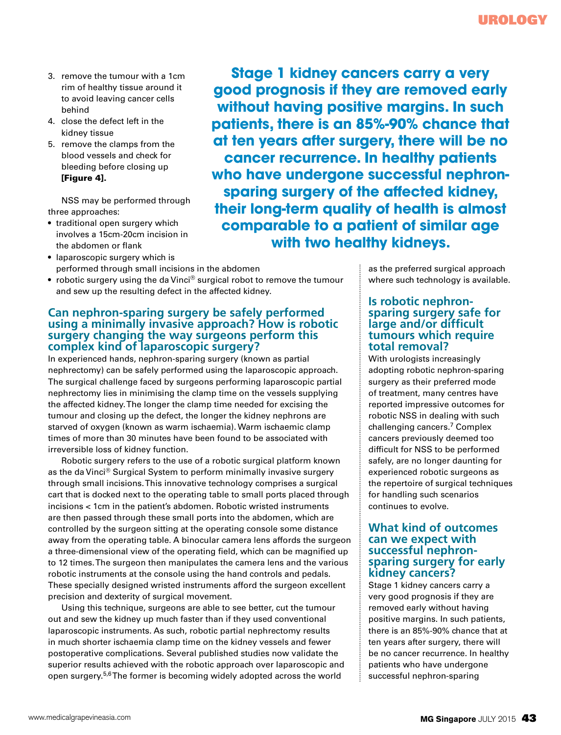- 3. remove the tumour with a 1cm rim of healthy tissue around it to avoid leaving cancer cells behind
- 4. close the defect left in the kidney tissue
- 5. remove the clamps from the blood vessels and check for bleeding before closing up [Figure 4].

NSS may be performed through three approaches:

- traditional open surgery which involves a 15cm-20cm incision in the abdomen or flank
- laparoscopic surgery which is performed through small incisions in the abdomen
- robotic surgery using the da Vinci® surgical robot to remove the tumour and sew up the resulting defect in the affected kidney.

# **Can nephron-sparing surgery be safely performed using a minimally invasive approach? How is robotic surgery changing the way surgeons perform this complex kind of laparoscopic surgery?**

In experienced hands, nephron-sparing surgery (known as partial nephrectomy) can be safely performed using the laparoscopic approach. The surgical challenge faced by surgeons performing laparoscopic partial nephrectomy lies in minimising the clamp time on the vessels supplying the affected kidney. The longer the clamp time needed for excising the tumour and closing up the defect, the longer the kidney nephrons are starved of oxygen (known as warm ischaemia). Warm ischaemic clamp times of more than 30 minutes have been found to be associated with irreversible loss of kidney function.

Robotic surgery refers to the use of a robotic surgical platform known as the da Vinci® Surgical System to perform minimally invasive surgery through small incisions. This innovative technology comprises a surgical cart that is docked next to the operating table to small ports placed through incisions < 1cm in the patient's abdomen. Robotic wristed instruments are then passed through these small ports into the abdomen, which are controlled by the surgeon sitting at the operating console some distance away from the operating table. A binocular camera lens affords the surgeon a three-dimensional view of the operating field, which can be magnified up to 12 times. The surgeon then manipulates the camera lens and the various robotic instruments at the console using the hand controls and pedals. These specially designed wristed instruments afford the surgeon excellent precision and dexterity of surgical movement.

Using this technique, surgeons are able to see better, cut the tumour out and sew the kidney up much faster than if they used conventional laparoscopic instruments. As such, robotic partial nephrectomy results in much shorter ischaemia clamp time on the kidney vessels and fewer postoperative complications. Several published studies now validate the superior results achieved with the robotic approach over laparoscopic and open surgery.5,6 The former is becoming widely adopted across the world

**Stage 1 kidney cancers carry a very good prognosis if they are removed early without having positive margins. In such patients, there is an 85%-90% chance that at ten years after surgery, there will be no cancer recurrence. In healthy patients who have undergone successful nephronsparing surgery of the affected kidney, their long-term quality of health is almost comparable to a patient of similar age with two healthy kidneys.**

> as the preferred surgical approach where such technology is available.

#### **Is robotic nephronsparing surgery safe for large and/or difficult tumours which require total removal?**

With urologists increasingly adopting robotic nephron-sparing surgery as their preferred mode of treatment, many centres have reported impressive outcomes for robotic NSS in dealing with such challenging cancers.7 Complex cancers previously deemed too difficult for NSS to be performed safely, are no longer daunting for experienced robotic surgeons as the repertoire of surgical techniques for handling such scenarios continues to evolve.

## **What kind of outcomes can we expect with successful nephronsparing surgery for early kidney cancers?**

Stage 1 kidney cancers carry a very good prognosis if they are removed early without having positive margins. In such patients, there is an 85%-90% chance that at ten years after surgery, there will be no cancer recurrence. In healthy patients who have undergone successful nephron-sparing